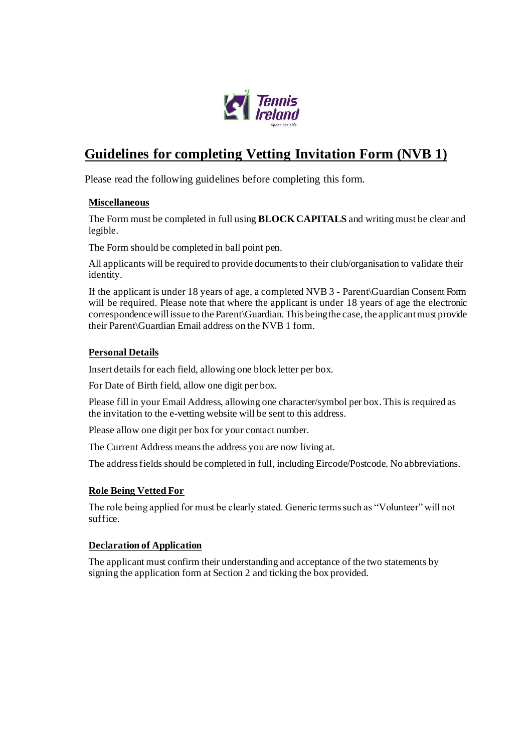

# **Guidelines for completing Vetting Invitation Form (NVB 1)**

Please read the following guidelines before completing this form.

#### **Miscellaneous**

The Form must be completed in full using **BLOCK CAPITALS** and writing must be clear and legible.

The Form should be completed in ball point pen.

All applicants will be required to provide documents to their club/organisation to validate their identity.

If the applicant is under 18 years of age, a completed NVB 3 - Parent\Guardian Consent Form will be required. Please note that where the applicant is under 18 years of age the electronic correspondence will issue to the Parent\Guardian. This being the case, the applicant must provide their Parent\Guardian Email address on the NVB 1 form.

#### **Personal Details**

Insert details for each field, allowing one block letter per box.

For Date of Birth field, allow one digit per box.

Please fill in your Email Address, allowing one character/symbol per box. This is required as the invitation to the e-vetting website will be sent to this address.

Please allow one digit per box for your contact number.

The Current Address means the address you are now living at.

The address fields should be completed in full, including Eircode/Postcode. No abbreviations.

### **Role Being Vetted For**

The role being applied for must be clearly stated. Generic terms such as "Volunteer" will not suffice.

### **Declaration of Application**

The applicant must confirm their understanding and acceptance of the two statements by signing the application form at Section 2 and ticking the box provided.